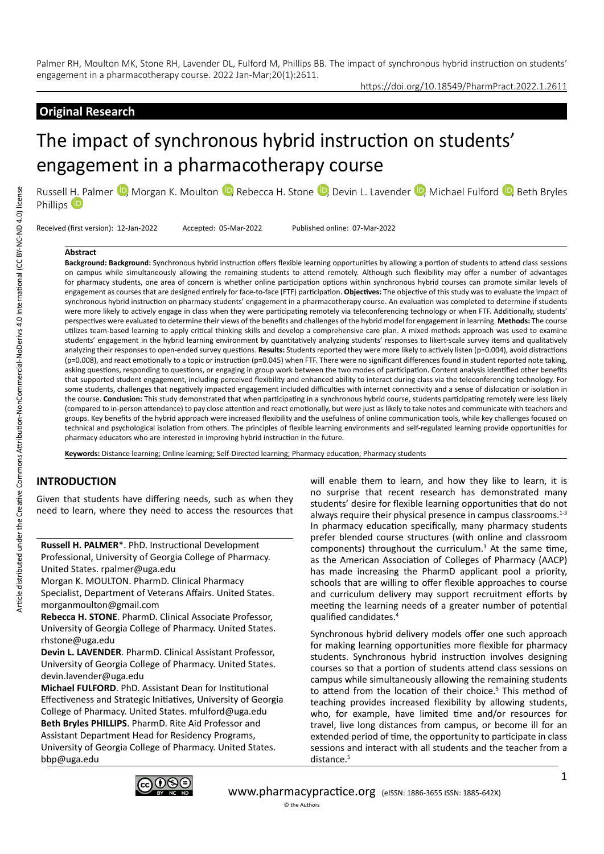# **Original Research**

https://doi.org/10.18549/PharmPract.2022.1.2611

# The impact of synchronous hybrid instruction on students' engagement in a pharmacotherapy course

Russell [H. P](https://orcid.org/0000-0003-4591-9419)almer <sup>(D</sup>), Morgan K. Moulton <sup>(D</sup>), Rebecca H. Stone <sup>(D</sup>), Devin L. Lavender <sup>(D</sup>), Michael Fulford <sup>(D</sup>), Beth Bryles Phillips<sup>D</sup>

Received (first version): 12-Jan-2022 Accepted: 05-Mar-2022 Published online: 07-Mar-2022

#### **Abstract**

**Background: Background:** Synchronous hybrid instruction offers flexible learning opportunities by allowing a portion of students to attend class sessions on campus while simultaneously allowing the remaining students to attend remotely. Although such flexibility may offer a number of advantages for pharmacy students, one area of concern is whether online participation options within synchronous hybrid courses can promote similar levels of engagement as courses that are designed entirely for face-to-face (FTF) participation. **Objectives:** The objective of this study was to evaluate the impact of synchronous hybrid instruction on pharmacy students' engagement in a pharmacotherapy course. An evaluation was completed to determine if students were more likely to actively engage in class when they were participating remotely via teleconferencing technology or when FTF. Additionally, students' perspectives were evaluated to determine their views of the benefits and challenges of the hybrid model for engagement in learning. **Methods:** The course utilizes team-based learning to apply critical thinking skills and develop a comprehensive care plan. A mixed methods approach was used to examine students' engagement in the hybrid learning environment by quantitatively analyzing students' responses to likert-scale survey items and qualitatively analyzing their responses to open-ended survey questions. **Results:** Students reported they were more likely to actively listen (p=0.004), avoid distractions (p=0.008), and react emotionally to a topic or instruction (p=0.045) when FTF. There were no significant differences found in student reported note taking, asking questions, responding to questions, or engaging in group work between the two modes of participation. Content analysis identified other benefits that supported student engagement, including perceived flexibility and enhanced ability to interact during class via the teleconferencing technology. For some students, challenges that negatively impacted engagement included difficulties with internet connectivity and a sense of dislocation or isolation in the course. **Conclusion:** This study demonstrated that when participating in a synchronous hybrid course, students participating remotely were less likely (compared to in-person attendance) to pay close attention and react emotionally, but were just as likely to take notes and communicate with teachers and groups. Key benefits of the hybrid approach were increased flexibility and the usefulness of online communication tools, while key challenges focused on technical and psychological isolation from others. The principles of flexible learning environments and self-regulated learning provide opportunities for pharmacy educators who are interested in improving hybrid instruction in the future.

**Keywords:** Distance learning; Online learning; Self-Directed learning; Pharmacy education; Pharmacy students

# **INTRODUCTION**

Given that students have differing needs, such as when they need to learn, where they need to access the resources that

**Russell H. PALMER**\*. PhD. Instructional Development Professional, University of Georgia College of Pharmacy. United States. rpalmer@uga.edu

Morgan K. MOULTON. PharmD. Clinical Pharmacy Specialist, Department of Veterans Affairs. United States. morganmoulton@gmail.com

**Rebecca H. STONE**. PharmD. Clinical Associate Professor, University of Georgia College of Pharmacy. United States. rhstone@uga.edu

**Devin L. LAVENDER**. PharmD. Clinical Assistant Professor, University of Georgia College of Pharmacy. United States. devin.lavender@uga.edu

**Michael FULFORD**. PhD. Assistant Dean for Institutional Effectiveness and Strategic Initiatives, University of Georgia College of Pharmacy. United States. mfulford@uga.edu **Beth Bryles PHILLIPS**. PharmD. Rite Aid Professor and Assistant Department Head for Residency Programs, University of Georgia College of Pharmacy. United States. bbp@uga.edu

will enable them to learn, and how they like to learn, it is no surprise that recent research has demonstrated many students' desire for flexible learning opportunities that do not always require their physical presence in campus classrooms.<sup>1-3</sup> In pharmacy education specifically, many pharmacy students prefer blended course structures (with online and classroom components) throughout the curriculum.<sup>3</sup> At the same time, as the American Association of Colleges of Pharmacy (AACP) has made increasing the PharmD applicant pool a priority, schools that are willing to offer flexible approaches to course and curriculum delivery may support recruitment efforts by meeting the learning needs of a greater number of potential qualified candidates.4

Synchronous hybrid delivery models offer one such approach for making learning opportunities more flexible for pharmacy students. Synchronous hybrid instruction involves designing courses so that a portion of students attend class sessions on campus while simultaneously allowing the remaining students to attend from the location of their choice.<sup>5</sup> This method of teaching provides increased flexibility by allowing students, who, for example, have limited time and/or resources for travel, live long distances from campus, or become ill for an extended period of time, the opportunity to participate in class sessions and interact with all students and the teacher from a distance.<sup>5</sup>

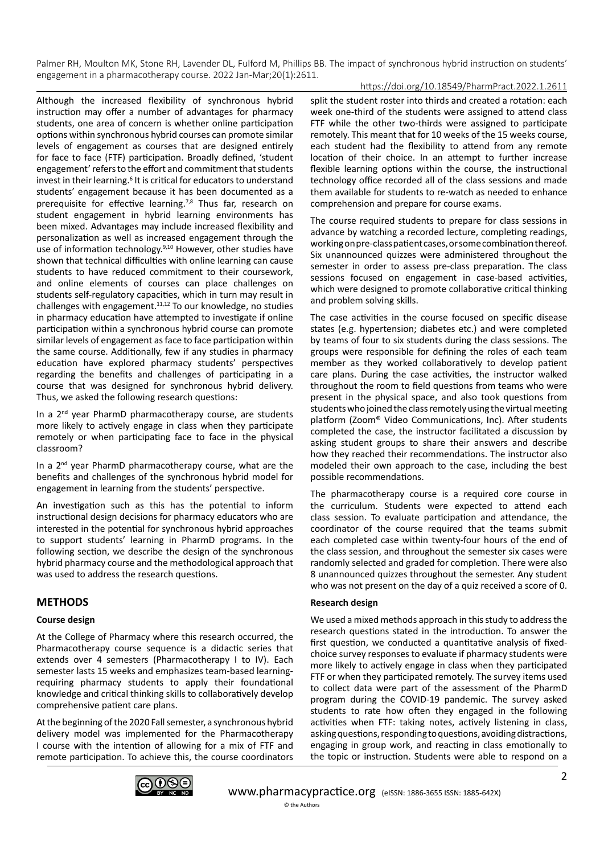## https://doi.org/10.18549/PharmPract.2022.1.2611

Although the increased flexibility of synchronous hybrid instruction may offer a number of advantages for pharmacy students, one area of concern is whether online participation options within synchronous hybrid courses can promote similar levels of engagement as courses that are designed entirely for face to face (FTF) participation. Broadly defined, 'student engagement' refers to the effort and commitment that students invest in their learning.<sup>6</sup> It is critical for educators to understand students' engagement because it has been documented as a prerequisite for effective learning.<sup>7,8</sup> Thus far, research on student engagement in hybrid learning environments has been mixed. Advantages may include increased flexibility and personalization as well as increased engagement through the use of information technology.<sup>9,10</sup> However, other studies have shown that technical difficulties with online learning can cause students to have reduced commitment to their coursework, and online elements of courses can place challenges on students self-regulatory capacities, which in turn may result in challenges with engagement.11,12 To our knowledge, no studies in pharmacy education have attempted to investigate if online participation within a synchronous hybrid course can promote similar levels of engagement as face to face participation within the same course. Additionally, few if any studies in pharmacy education have explored pharmacy students' perspectives regarding the benefits and challenges of participating in a course that was designed for synchronous hybrid delivery. Thus, we asked the following research questions:

In a 2<sup>nd</sup> year PharmD pharmacotherapy course, are students more likely to actively engage in class when they participate remotely or when participating face to face in the physical classroom?

In a 2nd year PharmD pharmacotherapy course, what are the benefits and challenges of the synchronous hybrid model for engagement in learning from the students' perspective.

An investigation such as this has the potential to inform instructional design decisions for pharmacy educators who are interested in the potential for synchronous hybrid approaches to support students' learning in PharmD programs. In the following section, we describe the design of the synchronous hybrid pharmacy course and the methodological approach that was used to address the research questions.

# **METHODS**

## **Course design**

At the College of Pharmacy where this research occurred, the Pharmacotherapy course sequence is a didactic series that extends over 4 semesters (Pharmacotherapy I to IV). Each semester lasts 15 weeks and emphasizes team-based learningrequiring pharmacy students to apply their foundational knowledge and critical thinking skills to collaboratively develop comprehensive patient care plans.

At the beginning of the 2020 Fall semester, a synchronous hybrid delivery model was implemented for the Pharmacotherapy I course with the intention of allowing for a mix of FTF and remote participation. To achieve this, the course coordinators

split the student roster into thirds and created a rotation: each week one-third of the students were assigned to attend class FTF while the other two-thirds were assigned to participate remotely. This meant that for 10 weeks of the 15 weeks course, each student had the flexibility to attend from any remote location of their choice. In an attempt to further increase flexible learning options within the course, the instructional technology office recorded all of the class sessions and made them available for students to re-watch as needed to enhance comprehension and prepare for course exams.

The course required students to prepare for class sessions in advance by watching a recorded lecture, completing readings, working on pre-class patient cases, or some combination thereof. Six unannounced quizzes were administered throughout the semester in order to assess pre-class preparation. The class sessions focused on engagement in case-based activities, which were designed to promote collaborative critical thinking and problem solving skills.

The case activities in the course focused on specific disease states (e.g. hypertension; diabetes etc.) and were completed by teams of four to six students during the class sessions. The groups were responsible for defining the roles of each team member as they worked collaboratively to develop patient care plans. During the case activities, the instructor walked throughout the room to field questions from teams who were present in the physical space, and also took questions from students who joined the class remotely using the virtual meeting platform (Zoom® Video Communications, Inc). After students completed the case, the instructor facilitated a discussion by asking student groups to share their answers and describe how they reached their recommendations. The instructor also modeled their own approach to the case, including the best possible recommendations.

The pharmacotherapy course is a required core course in the curriculum. Students were expected to attend each class session. To evaluate participation and attendance, the coordinator of the course required that the teams submit each completed case within twenty-four hours of the end of the class session, and throughout the semester six cases were randomly selected and graded for completion. There were also 8 unannounced quizzes throughout the semester. Any student who was not present on the day of a quiz received a score of 0.

## **Research design**

We used a mixed methods approach in this study to address the research questions stated in the introduction. To answer the first question, we conducted a quantitative analysis of fixedchoice survey responses to evaluate if pharmacy students were more likely to actively engage in class when they participated FTF or when they participated remotely. The survey items used to collect data were part of the assessment of the PharmD program during the COVID-19 pandemic. The survey asked students to rate how often they engaged in the following activities when FTF: taking notes, actively listening in class, asking questions, responding to questions, avoiding distractions, engaging in group work, and reacting in class emotionally to the topic or instruction. Students were able to respond on a

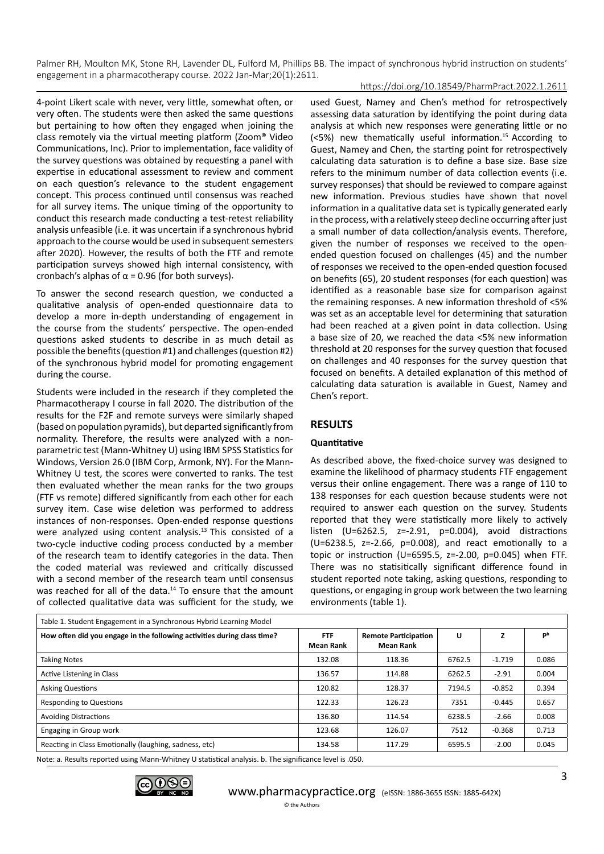#### https://doi.org/10.18549/PharmPract.2022.1.2611

4-point Likert scale with never, very little, somewhat often, or very often. The students were then asked the same questions but pertaining to how often they engaged when joining the class remotely via the virtual meeting platform (Zoom® Video Communications, Inc). Prior to implementation, face validity of the survey questions was obtained by requesting a panel with expertise in educational assessment to review and comment on each question's relevance to the student engagement concept. This process continued until consensus was reached for all survey items. The unique timing of the opportunity to conduct this research made conducting a test-retest reliability analysis unfeasible (i.e. it was uncertain if a synchronous hybrid approach to the course would be used in subsequent semesters after 2020). However, the results of both the FTF and remote participation surveys showed high internal consistency, with cronbach's alphas of  $\alpha$  = 0.96 (for both surveys).

To answer the second research question, we conducted a qualitative analysis of open-ended questionnaire data to develop a more in-depth understanding of engagement in the course from the students' perspective. The open-ended questions asked students to describe in as much detail as possible the benefits (question #1) and challenges (question #2) of the synchronous hybrid model for promoting engagement during the course.

Students were included in the research if they completed the Pharmacotherapy I course in fall 2020. The distribution of the results for the F2F and remote surveys were similarly shaped (based on population pyramids), but departed significantly from normality. Therefore, the results were analyzed with a nonparametric test (Mann-Whitney U) using IBM SPSS Statistics for Windows, Version 26.0 (IBM Corp, Armonk, NY). For the Mann-Whitney U test, the scores were converted to ranks. The test then evaluated whether the mean ranks for the two groups (FTF vs remote) differed significantly from each other for each survey item. Case wise deletion was performed to address instances of non-responses. Open-ended response questions were analyzed using content analysis.<sup>13</sup> This consisted of a two-cycle inductive coding process conducted by a member of the research team to identify categories in the data. Then the coded material was reviewed and critically discussed with a second member of the research team until consensus was reached for all of the data.<sup>14</sup> To ensure that the amount of collected qualitative data was sufficient for the study, we

used Guest, Namey and Chen's method for retrospectively assessing data saturation by identifying the point during data analysis at which new responses were generating little or no (<5%) new thematically useful information.15 According to Guest, Namey and Chen, the starting point for retrospectively calculating data saturation is to define a base size. Base size refers to the minimum number of data collection events (i.e. survey responses) that should be reviewed to compare against new information. Previous studies have shown that novel information in a qualitative data set is typically generated early in the process, with a relatively steep decline occurring after just a small number of data collection/analysis events. Therefore, given the number of responses we received to the openended question focused on challenges (45) and the number of responses we received to the open-ended question focused on benefits (65), 20 student responses (for each question) was identified as a reasonable base size for comparison against the remaining responses. A new information threshold of <5% was set as an acceptable level for determining that saturation had been reached at a given point in data collection. Using a base size of 20, we reached the data <5% new information threshold at 20 responses for the survey question that focused on challenges and 40 responses for the survey question that focused on benefits. A detailed explanation of this method of calculating data saturation is available in Guest, Namey and Chen's report.

# **RESULTS**

## **Quantitative**

As described above, the fixed-choice survey was designed to examine the likelihood of pharmacy students FTF engagement versus their online engagement. There was a range of 110 to 138 responses for each question because students were not required to answer each question on the survey. Students reported that they were statistically more likely to actively listen (U=6262.5,  $z=-2.91$ ,  $p=0.004$ ), avoid distractions (U=6238.5, z=-2.66, p=0.008), and react emotionally to a topic or instruction (U=6595.5, z=-2.00, p=0.045) when FTF. There was no statisitically significant difference found in student reported note taking, asking questions, responding to questions, or engaging in group work between the two learning environments (table 1).

| Table 1. Student Engagement in a Synchronous Hybrid Learning Model      |                         |                                                 |        |          |       |  |  |  |
|-------------------------------------------------------------------------|-------------------------|-------------------------------------------------|--------|----------|-------|--|--|--|
| How often did you engage in the following activities during class time? | <b>FTF</b><br>Mean Rank | <b>Remote Participation</b><br><b>Mean Rank</b> | U      | z        | Рp    |  |  |  |
| <b>Taking Notes</b>                                                     | 132.08                  | 118.36                                          | 6762.5 | $-1.719$ | 0.086 |  |  |  |
| Active Listening in Class                                               | 136.57                  | 114.88                                          | 6262.5 | $-2.91$  | 0.004 |  |  |  |
| <b>Asking Questions</b>                                                 | 120.82                  | 128.37                                          | 7194.5 | $-0.852$ | 0.394 |  |  |  |
| <b>Responding to Questions</b>                                          | 122.33                  | 126.23                                          | 7351   | $-0.445$ | 0.657 |  |  |  |
| <b>Avoiding Distractions</b>                                            | 136.80                  | 114.54                                          | 6238.5 | $-2.66$  | 0.008 |  |  |  |
| Engaging in Group work                                                  | 123.68                  | 126.07                                          | 7512   | $-0.368$ | 0.713 |  |  |  |
| Reacting in Class Emotionally (laughing, sadness, etc)                  | 134.58                  | 117.29                                          | 6595.5 | $-2.00$  | 0.045 |  |  |  |

Note: a. Results reported using Mann-Whitney U statistical analysis. b. The significance level is .050.

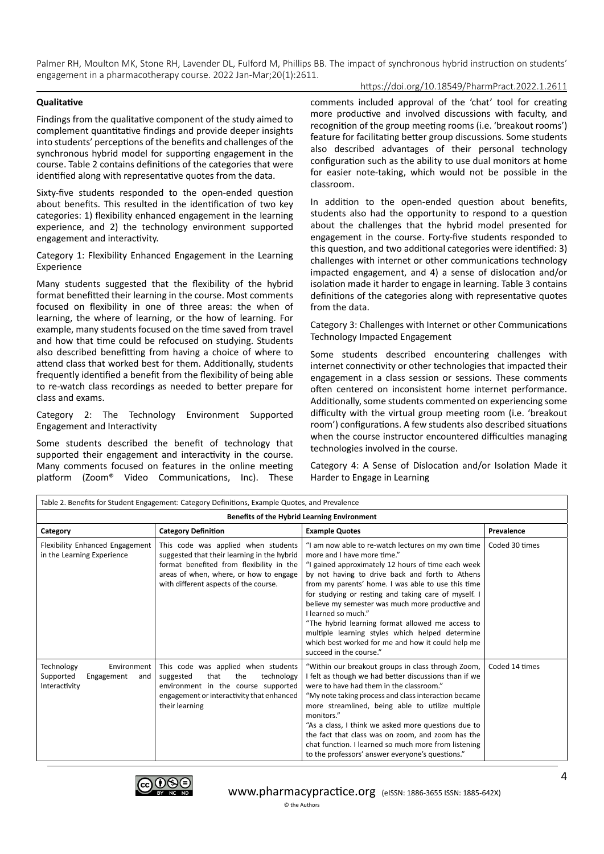# https://doi.org/10.18549/PharmPract.2022.1.2611

#### **Qualitative**

Findings from the qualitative component of the study aimed to complement quantitative findings and provide deeper insights into students' perceptions of the benefits and challenges of the synchronous hybrid model for supporting engagement in the course. Table 2 contains definitions of the categories that were identified along with representative quotes from the data.

Sixty-five students responded to the open-ended question about benefits. This resulted in the identification of two key categories: 1) flexibility enhanced engagement in the learning experience, and 2) the technology environment supported engagement and interactivity.

Category 1: Flexibility Enhanced Engagement in the Learning Experience

Many students suggested that the flexibility of the hybrid format benefitted their learning in the course. Most comments focused on flexibility in one of three areas: the when of learning, the where of learning, or the how of learning. For example, many students focused on the time saved from travel and how that time could be refocused on studying. Students also described benefitting from having a choice of where to attend class that worked best for them. Additionally, students frequently identified a benefit from the flexibility of being able to re-watch class recordings as needed to better prepare for class and exams.

Category 2: The Technology Environment Supported Engagement and Interactivity

Some students described the benefit of technology that supported their engagement and interactivity in the course. Many comments focused on features in the online meeting platform (Zoom® Video Communications, Inc). These

comments included approval of the 'chat' tool for creating more productive and involved discussions with faculty, and recognition of the group meeting rooms (i.e. 'breakout rooms') feature for facilitating better group discussions. Some students also described advantages of their personal technology configuration such as the ability to use dual monitors at home for easier note-taking, which would not be possible in the classroom.

In addition to the open-ended question about benefits, students also had the opportunity to respond to a question about the challenges that the hybrid model presented for engagement in the course. Forty-five students responded to this question, and two additional categories were identified: 3) challenges with internet or other communications technology impacted engagement, and 4) a sense of dislocation and/or isolation made it harder to engage in learning. Table 3 contains definitions of the categories along with representative quotes from the data.

Category 3: Challenges with Internet or other Communications Technology Impacted Engagement

Some students described encountering challenges with internet connectivity or other technologies that impacted their engagement in a class session or sessions. These comments often centered on inconsistent home internet performance. Additionally, some students commented on experiencing some difficulty with the virtual group meeting room (i.e. 'breakout room') configurations. A few students also described situations when the course instructor encountered difficulties managing technologies involved in the course.

Category 4: A Sense of Dislocation and/or Isolation Made it Harder to Engage in Learning

| Table 2. Benefits for Student Engagement: Category Definitions, Example Quotes, and Prevalence |                                                                                                                                                                                                                   |                                                                                                                                                                                                                                                                                                                                                                                                                                                                                                                                                                            |                |  |  |  |
|------------------------------------------------------------------------------------------------|-------------------------------------------------------------------------------------------------------------------------------------------------------------------------------------------------------------------|----------------------------------------------------------------------------------------------------------------------------------------------------------------------------------------------------------------------------------------------------------------------------------------------------------------------------------------------------------------------------------------------------------------------------------------------------------------------------------------------------------------------------------------------------------------------------|----------------|--|--|--|
| Benefits of the Hybrid Learning Environment                                                    |                                                                                                                                                                                                                   |                                                                                                                                                                                                                                                                                                                                                                                                                                                                                                                                                                            |                |  |  |  |
| Category                                                                                       | <b>Category Definition</b>                                                                                                                                                                                        | <b>Example Quotes</b>                                                                                                                                                                                                                                                                                                                                                                                                                                                                                                                                                      | Prevalence     |  |  |  |
| Flexibility Enhanced Engagement<br>in the Learning Experience                                  | This code was applied when students<br>suggested that their learning in the hybrid<br>format benefited from flexibility in the<br>areas of when, where, or how to engage<br>with different aspects of the course. | "I am now able to re-watch lectures on my own time<br>more and I have more time."<br>"I gained approximately 12 hours of time each week<br>by not having to drive back and forth to Athens<br>from my parents' home. I was able to use this time<br>for studying or resting and taking care of myself. I<br>believe my semester was much more productive and<br>I learned so much."<br>"The hybrid learning format allowed me access to<br>multiple learning styles which helped determine<br>which best worked for me and how it could help me<br>succeed in the course." | Coded 30 times |  |  |  |
| Technology<br>Environment<br>Supported<br>Engagement<br>and<br>Interactivity                   | This code was applied when students<br>that<br>the<br>technology<br>suggested<br>environment in the course supported<br>engagement or interactivity that enhanced<br>their learning                               | "Within our breakout groups in class through Zoom,<br>felt as though we had better discussions than if we<br>were to have had them in the classroom."<br>"My note taking process and class interaction became<br>more streamlined, being able to utilize multiple<br>monitors."<br>"As a class, I think we asked more questions due to<br>the fact that class was on zoom, and zoom has the<br>chat function. I learned so much more from listening<br>to the professors' answer everyone's questions."                                                                    | Coded 14 times |  |  |  |

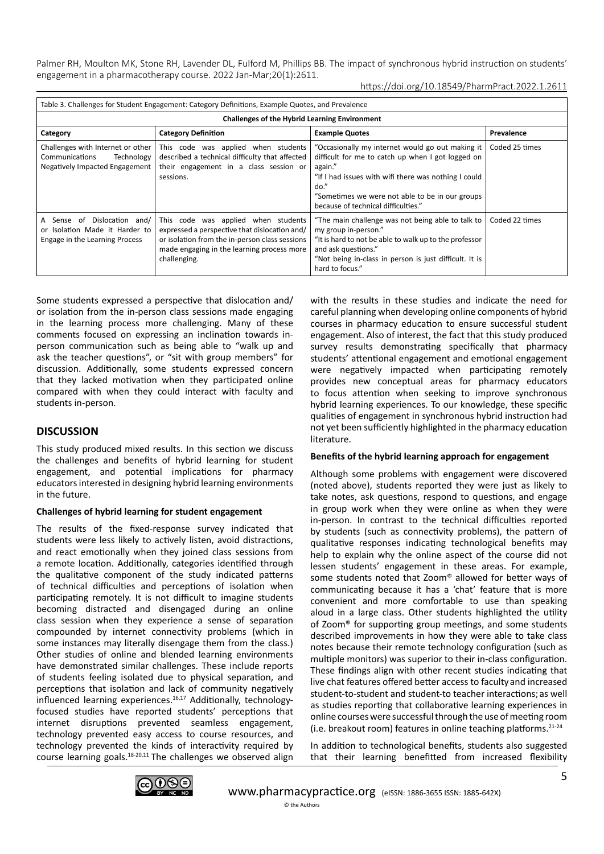| Table 3. Challenges for Student Engagement: Category Definitions, Example Quotes, and Prevalence    |                                                                                                                                                                                                      |                                                                                                                                                                                                                                                                               |                |  |  |  |  |
|-----------------------------------------------------------------------------------------------------|------------------------------------------------------------------------------------------------------------------------------------------------------------------------------------------------------|-------------------------------------------------------------------------------------------------------------------------------------------------------------------------------------------------------------------------------------------------------------------------------|----------------|--|--|--|--|
| <b>Challenges of the Hybrid Learning Environment</b>                                                |                                                                                                                                                                                                      |                                                                                                                                                                                                                                                                               |                |  |  |  |  |
| Category                                                                                            | <b>Category Definition</b>                                                                                                                                                                           | <b>Example Quotes</b>                                                                                                                                                                                                                                                         | Prevalence     |  |  |  |  |
| Challenges with Internet or other<br>Communications<br>Technology<br>Negatively Impacted Engagement | This code was applied when students<br>described a technical difficulty that affected<br>their engagement in a class session or<br>sessions.                                                         | "Occasionally my internet would go out making it<br>difficult for me to catch up when I got logged on<br>again."<br>"If I had issues with wifi there was nothing I could<br>$do.$ "<br>"Sometimes we were not able to be in our groups<br>because of technical difficulties." | Coded 25 times |  |  |  |  |
| Sense of Dislocation and/<br>A<br>or Isolation Made it Harder to<br>Engage in the Learning Process  | This code was applied when students<br>expressed a perspective that dislocation and/<br>or isolation from the in-person class sessions<br>made engaging in the learning process more<br>challenging. | "The main challenge was not being able to talk to<br>my group in-person."<br>"It is hard to not be able to walk up to the professor<br>and ask questions."<br>"Not being in-class in person is just difficult. It is<br>hard to focus."                                       | Coded 22 times |  |  |  |  |

Some students expressed a perspective that dislocation and/ or isolation from the in-person class sessions made engaging in the learning process more challenging. Many of these comments focused on expressing an inclination towards inperson communication such as being able to "walk up and ask the teacher questions", or "sit with group members" for discussion. Additionally, some students expressed concern that they lacked motivation when they participated online compared with when they could interact with faculty and students in-person.

# **DISCUSSION**

This study produced mixed results. In this section we discuss the challenges and benefits of hybrid learning for student engagement, and potential implications for pharmacy educators interested in designing hybrid learning environments in the future.

## **Challenges of hybrid learning for student engagement**

The results of the fixed-response survey indicated that students were less likely to actively listen, avoid distractions, and react emotionally when they joined class sessions from a remote location. Additionally, categories identified through the qualitative component of the study indicated patterns of technical difficulties and perceptions of isolation when participating remotely. It is not difficult to imagine students becoming distracted and disengaged during an online class session when they experience a sense of separation compounded by internet connectivity problems (which in some instances may literally disengage them from the class.) Other studies of online and blended learning environments have demonstrated similar challenges. These include reports of students feeling isolated due to physical separation, and perceptions that isolation and lack of community negatively influenced learning experiences.<sup>16,17</sup> Additionally, technologyfocused studies have reported students' perceptions that internet disruptions prevented seamless engagement, technology prevented easy access to course resources, and technology prevented the kinds of interactivity required by course learning goals. $18-20,11$  The challenges we observed align

with the results in these studies and indicate the need for careful planning when developing online components of hybrid courses in pharmacy education to ensure successful student engagement. Also of interest, the fact that this study produced survey results demonstrating specifically that pharmacy students' attentional engagement and emotional engagement were negatively impacted when participating remotely provides new conceptual areas for pharmacy educators to focus attention when seeking to improve synchronous hybrid learning experiences. To our knowledge, these specific qualities of engagement in synchronous hybrid instruction had not yet been sufficiently highlighted in the pharmacy education literature.

## **Benefits of the hybrid learning approach for engagement**

Although some problems with engagement were discovered (noted above), students reported they were just as likely to take notes, ask questions, respond to questions, and engage in group work when they were online as when they were in-person. In contrast to the technical difficulties reported by students (such as connectivity problems), the pattern of qualitative responses indicating technological benefits may help to explain why the online aspect of the course did not lessen students' engagement in these areas. For example, some students noted that Zoom® allowed for better ways of communicating because it has a 'chat' feature that is more convenient and more comfortable to use than speaking aloud in a large class. Other students highlighted the utility of Zoom® for supporting group meetings, and some students described improvements in how they were able to take class notes because their remote technology configuration (such as multiple monitors) was superior to their in-class configuration. These findings align with other recent studies indicating that live chat features offered better access to faculty and increased student-to-student and student-to teacher interactions; as well as studies reporting that collaborative learning experiences in online courses were successful through the use of meeting room (i.e. breakout room) features in online teaching platforms. $21-24$ 

In addition to technological benefits, students also suggested that their learning benefitted from increased flexibility

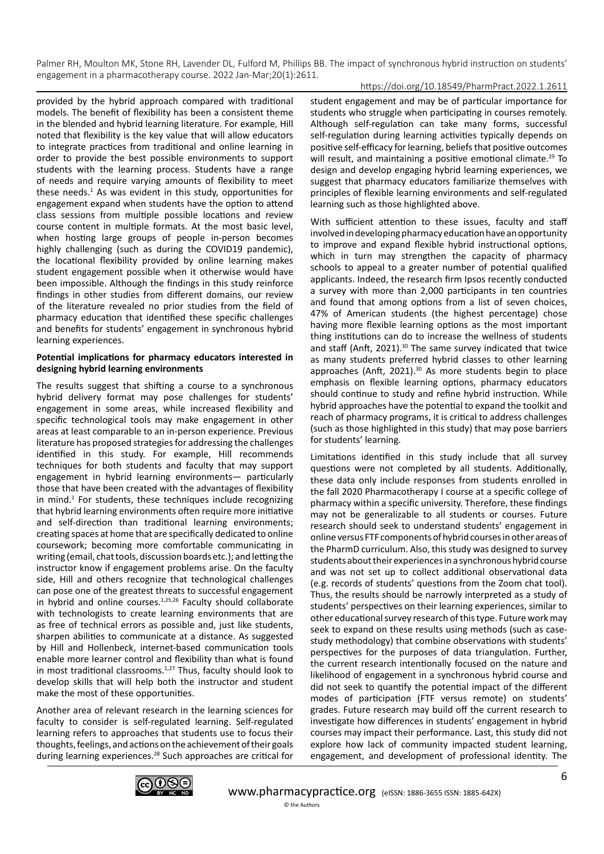# https://doi.org/10.18549/PharmPract.2022.1.2611

provided by the hybrid approach compared with traditional models. The benefit of flexibility has been a consistent theme in the blended and hybrid learning literature. For example, Hill noted that flexibility is the key value that will allow educators to integrate practices from traditional and online learning in order to provide the best possible environments to support students with the learning process. Students have a range of needs and require varying amounts of flexibility to meet these needs.<sup>1</sup> As was evident in this study, opportunities for engagement expand when students have the option to attend class sessions from multiple possible locations and review course content in multiple formats. At the most basic level, when hosting large groups of people in-person becomes highly challenging (such as during the COVID19 pandemic), the locational flexibility provided by online learning makes student engagement possible when it otherwise would have been impossible. Although the findings in this study reinforce findings in other studies from different domains, our review of the literature revealed no prior studies from the field of pharmacy education that identified these specific challenges and benefits for students' engagement in synchronous hybrid learning experiences.

#### **Potential implications for pharmacy educators interested in designing hybrid learning environments**

The results suggest that shifting a course to a synchronous hybrid delivery format may pose challenges for students' engagement in some areas, while increased flexibility and specific technological tools may make engagement in other areas at least comparable to an in-person experience. Previous literature has proposed strategies for addressing the challenges identified in this study. For example, Hill recommends techniques for both students and faculty that may support engagement in hybrid learning environments— particularly those that have been created with the advantages of flexibility in mind.<sup>1</sup> For students, these techniques include recognizing that hybrid learning environments often require more initiative and self-direction than traditional learning environments; creating spaces at home that are specifically dedicated to online coursework; becoming more comfortable communicating in writing (email, chat tools, discussion boards etc.); and letting the instructor know if engagement problems arise. On the faculty side, Hill and others recognize that technological challenges can pose one of the greatest threats to successful engagement in hybrid and online courses. $1,25,26$  Faculty should collaborate with technologists to create learning environments that are as free of technical errors as possible and, just like students, sharpen abilities to communicate at a distance. As suggested by Hill and Hollenbeck, internet-based communication tools enable more learner control and flexibility than what is found in most traditional classrooms.<sup>1,27</sup> Thus, faculty should look to develop skills that will help both the instructor and student make the most of these opportunities.

Another area of relevant research in the learning sciences for faculty to consider is self-regulated learning. Self-regulated learning refers to approaches that students use to focus their thoughts, feelings, and actions on the achievement of their goals during learning experiences.28 Such approaches are critical for student engagement and may be of particular importance for students who struggle when participating in courses remotely. Although self-regulation can take many forms, successful self-regulation during learning activities typically depends on positive self-efficacy for learning, beliefs that positive outcomes will result, and maintaining a positive emotional climate.<sup>29</sup> To design and develop engaging hybrid learning experiences, we suggest that pharmacy educators familiarize themselves with principles of flexible learning environments and self-regulated learning such as those highlighted above.

With sufficient attention to these issues, faculty and staff involved in developing pharmacy education have an opportunity to improve and expand flexible hybrid instructional options, which in turn may strengthen the capacity of pharmacy schools to appeal to a greater number of potential qualified applicants. Indeed, the research firm Ipsos recently conducted a survey with more than 2,000 participants in ten countries and found that among options from a list of seven choices, 47% of American students (the highest percentage) chose having more flexible learning options as the most important thing institutions can do to increase the wellness of students and staff (Anft, 2021).<sup>30</sup> The same survey indicated that twice as many students preferred hybrid classes to other learning approaches (Anft, 2021).<sup>30</sup> As more students begin to place emphasis on flexible learning options, pharmacy educators should continue to study and refine hybrid instruction. While hybrid approaches have the potential to expand the toolkit and reach of pharmacy programs, it is critical to address challenges (such as those highlighted in this study) that may pose barriers for students' learning.

Limitations identified in this study include that all survey questions were not completed by all students. Additionally, these data only include responses from students enrolled in the fall 2020 Pharmacotherapy I course at a specific college of pharmacy within a specific university. Therefore, these findings may not be generalizable to all students or courses. Future research should seek to understand students' engagement in online versus FTF components of hybrid courses in other areas of the PharmD curriculum. Also, this study was designed to survey students about their experiences in a synchronous hybrid course and was not set up to collect additional observational data (e.g. records of students' questions from the Zoom chat tool). Thus, the results should be narrowly interpreted as a study of students' perspectives on their learning experiences, similar to other educational survey research of this type. Future work may seek to expand on these results using methods (such as casestudy methodology) that combine observations with students' perspectives for the purposes of data triangulation. Further, the current research intentionally focused on the nature and likelihood of engagement in a synchronous hybrid course and did not seek to quantify the potential impact of the different modes of participation (FTF versus remote) on students' grades. Future research may build off the current research to investigate how differences in students' engagement in hybrid courses may impact their performance. Last, this study did not explore how lack of community impacted student learning, engagement, and development of professional identity. The

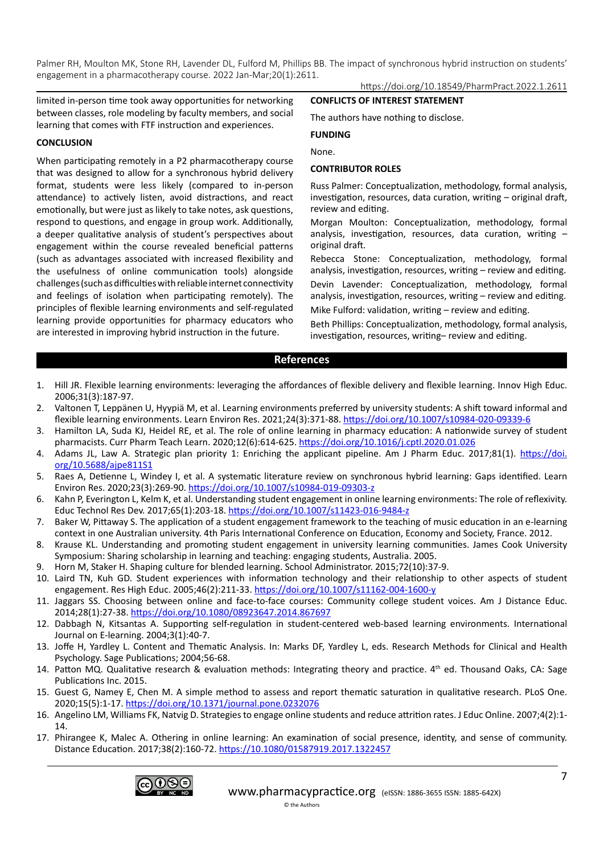limited in-person time took away opportunities for networking between classes, role modeling by faculty members, and social learning that comes with FTF instruction and experiences.

### **CONCLUSION**

When participating remotely in a P2 pharmacotherapy course that was designed to allow for a synchronous hybrid delivery format, students were less likely (compared to in-person attendance) to actively listen, avoid distractions, and react emotionally, but were just as likely to take notes, ask questions, respond to questions, and engage in group work. Additionally, a deeper qualitative analysis of student's perspectives about engagement within the course revealed beneficial patterns (such as advantages associated with increased flexibility and the usefulness of online communication tools) alongside challenges (such as difficulties with reliable internet connectivity and feelings of isolation when participating remotely). The principles of flexible learning environments and self-regulated learning provide opportunities for pharmacy educators who are interested in improving hybrid instruction in the future.

https://doi.org/10.18549/PharmPract.2022.1.2611

#### **CONFLICTS OF INTEREST STATEMENT**

The authors have nothing to disclose.

#### **FUNDING**

None.

#### **CONTRIBUTOR ROLES**

Russ Palmer: Conceptualization, methodology, formal analysis, investigation, resources, data curation, writing – original draft, review and editing.

Morgan Moulton: Conceptualization, methodology, formal analysis, investigation, resources, data curation, writing – original draft.

Rebecca Stone: Conceptualization, methodology, formal analysis, investigation, resources, writing – review and editing.

Devin Lavender: Conceptualization, methodology, formal analysis, investigation, resources, writing – review and editing.

Mike Fulford: validation, writing – review and editing.

Beth Phillips: Conceptualization, methodology, formal analysis, investigation, resources, writing– review and editing.

## **References**

- 1. Hill JR. Flexible learning environments: leveraging the affordances of flexible delivery and flexible learning. Innov High Educ. 2006;31(3):187-97.
- 2. Valtonen T, Leppänen U, Hyypiä M, et al. Learning environments preferred by university students: A shift toward informal and flexible learning environments. Learn Environ Res. 2021;24(3):371-88. <https://doi.org/10.1007/s10984-020-09339-6>
- 3. Hamilton LA, Suda KJ, Heidel RE, et al. The role of online learning in pharmacy education: A nationwide survey of student pharmacists. Curr Pharm Teach Learn. 2020;12(6):614-625. <https://doi.org/10.1016/j.cptl.2020.01.026>
- 4. Adams JL, Law A. Strategic plan priority 1: Enriching the applicant pipeline. Am J Pharm Educ. 2017;81(1). [https://doi.](https://doi.org/10.5688/ajpe811S1) [org/10.5688/ajpe811S1](https://doi.org/10.5688/ajpe811S1)
- 5. Raes A, Detienne L, Windey I, et al. A systematic literature review on synchronous hybrid learning: Gaps identified. Learn Environ Res. 2020;23(3):269-90. <https://doi.org/10.1007/s10984-019-09303-z>
- 6. Kahn P, Everington L, Kelm K, et al. Understanding student engagement in online learning environments: The role of reflexivity. Educ Technol Res Dev. 2017;65(1):203-18.<https://doi.org/10.1007/s11423-016-9484-z>
- 7. Baker W, Pittaway S. The application of a student engagement framework to the teaching of music education in an e-learning context in one Australian university. 4th Paris International Conference on Education, Economy and Society, France. 2012.
- 8. Krause KL. Understanding and promoting student engagement in university learning communities. James Cook University Symposium: Sharing scholarship in learning and teaching: engaging students, Australia. 2005.
- 9. Horn M, Staker H. Shaping culture for blended learning. School Administrator. 2015;72(10):37-9.
- 10. Laird TN, Kuh GD. Student experiences with information technology and their relationship to other aspects of student engagement. Res High Educ. 2005;46(2):211-33. <https://doi.org/10.1007/s11162-004-1600-y>
- 11. Jaggars SS. Choosing between online and face-to-face courses: Community college student voices. Am J Distance Educ. 2014;28(1):27-38.<https://doi.org/10.1080/08923647.2014.867697>
- 12. Dabbagh N, Kitsantas A. Supporting self-regulation in student-centered web-based learning environments. International Journal on E-learning. 2004;3(1):40-7.
- 13. Joffe H, Yardley L. Content and Thematic Analysis. In: Marks DF, Yardley L, eds. Research Methods for Clinical and Health Psychology. Sage Publications; 2004;56-68.
- 14. Patton MQ. Qualitative research & evaluation methods: Integrating theory and practice. 4th ed. Thousand Oaks, CA: Sage Publications Inc. 2015.
- 15. Guest G, Namey E, Chen M. A simple method to assess and report thematic saturation in qualitative research. PLoS One. 2020;15(5):1-17. <https://doi.org/10.1371/journal.pone.0232076>
- 16. Angelino LM, Williams FK, Natvig D. Strategies to engage online students and reduce attrition rates. J Educ Online. 2007;4(2):1- 14.
- 17. Phirangee K, Malec A. Othering in online learning: An examination of social presence, identity, and sense of community. Distance Education. 2017;38(2):160-72.<https://10.1080/01587919.2017.1322457>